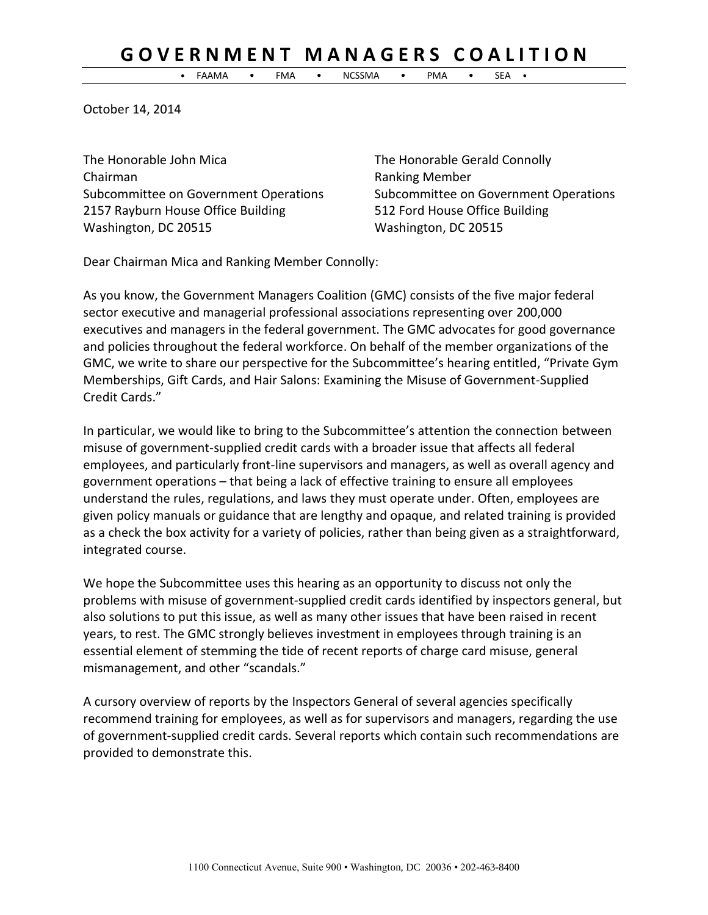## **G O V E R N M E N T M A N A G E R S C O A L I T I O N**

• FAAMA • FMA • NCSSMA • PMA • SEA •

October 14, 2014

The Honorable John Mica The Honorable Gerald Connolly Chairman **Chairman** Ranking Member Subcommittee on Government Operations Subcommittee on Government Operations 2157 Rayburn House Office Building 512 Ford House Office Building Washington, DC 20515 Washington, DC 20515

Dear Chairman Mica and Ranking Member Connolly:

As you know, the Government Managers Coalition (GMC) consists of the five major federal sector executive and managerial professional associations representing over 200,000 executives and managers in the federal government. The GMC advocates for good governance and policies throughout the federal workforce. On behalf of the member organizations of the GMC, we write to share our perspective for the Subcommittee's hearing entitled, "Private Gym Memberships, Gift Cards, and Hair Salons: Examining the Misuse of Government-Supplied Credit Cards."

In particular, we would like to bring to the Subcommittee's attention the connection between misuse of government-supplied credit cards with a broader issue that affects all federal employees, and particularly front-line supervisors and managers, as well as overall agency and government operations – that being a lack of effective training to ensure all employees understand the rules, regulations, and laws they must operate under. Often, employees are given policy manuals or guidance that are lengthy and opaque, and related training is provided as a check the box activity for a variety of policies, rather than being given as a straightforward, integrated course.

We hope the Subcommittee uses this hearing as an opportunity to discuss not only the problems with misuse of government-supplied credit cards identified by inspectors general, but also solutions to put this issue, as well as many other issues that have been raised in recent years, to rest. The GMC strongly believes investment in employees through training is an essential element of stemming the tide of recent reports of charge card misuse, general mismanagement, and other "scandals."

A cursory overview of reports by the Inspectors General of several agencies specifically recommend training for employees, as well as for supervisors and managers, regarding the use of government-supplied credit cards. Several reports which contain such recommendations are provided to demonstrate this.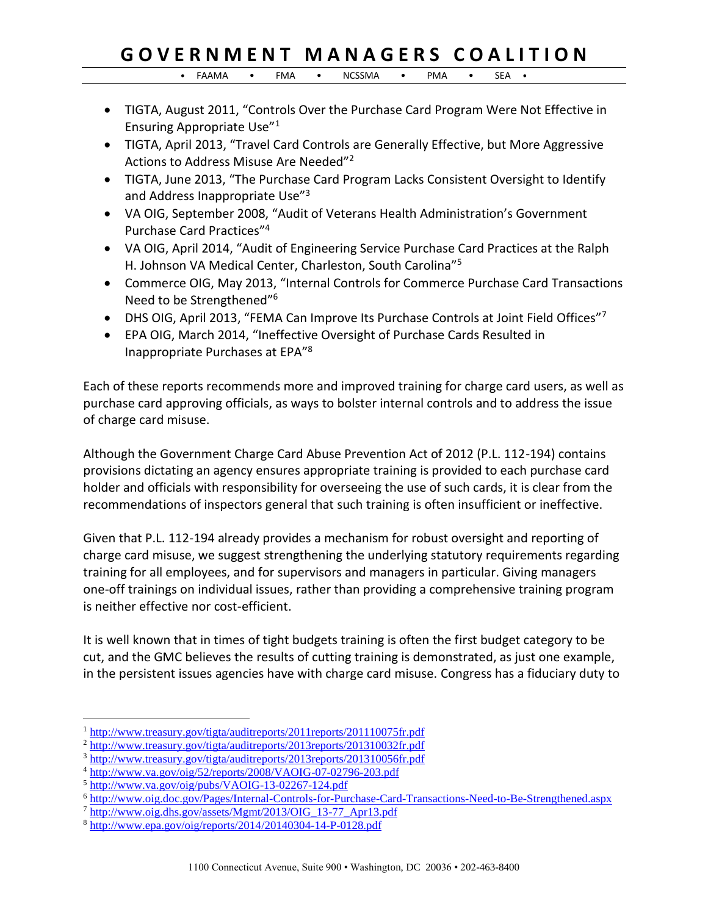## **G O V E R N M E N T M A N A G E R S C O A L I T I O N**

• FAAMA • FMA • NCSSMA • PMA • SEA •

- TIGTA, August 2011, "Controls Over the Purchase Card Program Were Not Effective in Ensuring Appropriate Use"<sup>1</sup>
- TIGTA, April 2013, "Travel Card Controls are Generally Effective, but More Aggressive Actions to Address Misuse Are Needed"<sup>2</sup>
- TIGTA, June 2013, "The Purchase Card Program Lacks Consistent Oversight to Identify and Address Inappropriate Use"<sup>3</sup>
- VA OIG, September 2008, "Audit of Veterans Health Administration's Government Purchase Card Practices"<sup>4</sup>
- VA OIG, April 2014, "Audit of Engineering Service Purchase Card Practices at the Ralph H. Johnson VA Medical Center, Charleston, South Carolina"<sup>5</sup>
- Commerce OIG, May 2013, "Internal Controls for Commerce Purchase Card Transactions Need to be Strengthened"<sup>6</sup>
- DHS OIG, April 2013, "FEMA Can Improve Its Purchase Controls at Joint Field Offices"7
- EPA OIG, March 2014, "Ineffective Oversight of Purchase Cards Resulted in Inappropriate Purchases at EPA"<sup>8</sup>

Each of these reports recommends more and improved training for charge card users, as well as purchase card approving officials, as ways to bolster internal controls and to address the issue of charge card misuse.

Although the Government Charge Card Abuse Prevention Act of 2012 (P.L. 112-194) contains provisions dictating an agency ensures appropriate training is provided to each purchase card holder and officials with responsibility for overseeing the use of such cards, it is clear from the recommendations of inspectors general that such training is often insufficient or ineffective.

Given that P.L. 112-194 already provides a mechanism for robust oversight and reporting of charge card misuse, we suggest strengthening the underlying statutory requirements regarding training for all employees, and for supervisors and managers in particular. Giving managers one-off trainings on individual issues, rather than providing a comprehensive training program is neither effective nor cost-efficient.

It is well known that in times of tight budgets training is often the first budget category to be cut, and the GMC believes the results of cutting training is demonstrated, as just one example, in the persistent issues agencies have with charge card misuse. Congress has a fiduciary duty to

 $\overline{a}$ 

<sup>1</sup> <http://www.treasury.gov/tigta/auditreports/2011reports/201110075fr.pdf>

<sup>2</sup> <http://www.treasury.gov/tigta/auditreports/2013reports/201310032fr.pdf>

<sup>3</sup> <http://www.treasury.gov/tigta/auditreports/2013reports/201310056fr.pdf>

<sup>4</sup> <http://www.va.gov/oig/52/reports/2008/VAOIG-07-02796-203.pdf>

<sup>5</sup> <http://www.va.gov/oig/pubs/VAOIG-13-02267-124.pdf>

<sup>6</sup> <http://www.oig.doc.gov/Pages/Internal-Controls-for-Purchase-Card-Transactions-Need-to-Be-Strengthened.aspx>

<sup>7</sup> [http://www.oig.dhs.gov/assets/Mgmt/2013/OIG\\_13-77\\_Apr13.pdf](http://www.oig.dhs.gov/assets/Mgmt/2013/OIG_13-77_Apr13.pdf)

<sup>8</sup> <http://www.epa.gov/oig/reports/2014/20140304-14-P-0128.pdf>